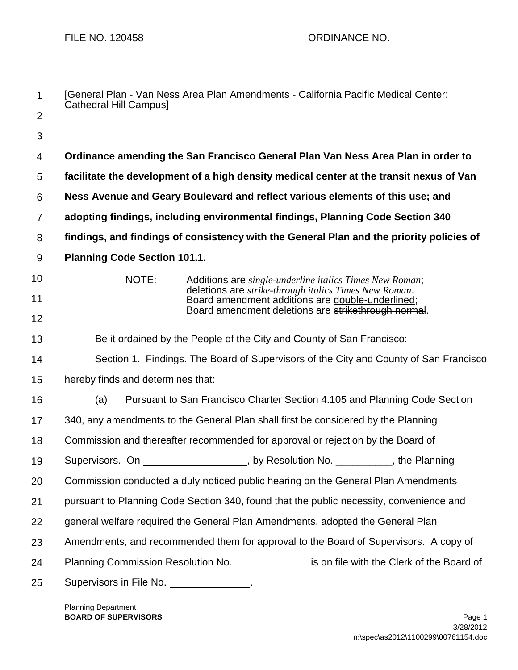| 1              | Cathedral Hill Campus]                                                                       | [General Plan - Van Ness Area Plan Amendments - California Pacific Medical Center:                        |  |  |
|----------------|----------------------------------------------------------------------------------------------|-----------------------------------------------------------------------------------------------------------|--|--|
| $\overline{2}$ |                                                                                              |                                                                                                           |  |  |
| 3              |                                                                                              |                                                                                                           |  |  |
| 4              | Ordinance amending the San Francisco General Plan Van Ness Area Plan in order to             |                                                                                                           |  |  |
| 5              | facilitate the development of a high density medical center at the transit nexus of Van      |                                                                                                           |  |  |
| 6              | Ness Avenue and Geary Boulevard and reflect various elements of this use; and                |                                                                                                           |  |  |
| $\overline{7}$ | adopting findings, including environmental findings, Planning Code Section 340               |                                                                                                           |  |  |
| 8              | findings, and findings of consistency with the General Plan and the priority policies of     |                                                                                                           |  |  |
| 9              | <b>Planning Code Section 101.1.</b>                                                          |                                                                                                           |  |  |
| 10             | NOTE:                                                                                        | Additions are single-underline italics Times New Roman;                                                   |  |  |
| 11             |                                                                                              | deletions are strike through italics Times New Roman.<br>Board amendment additions are double-underlined; |  |  |
| 12             |                                                                                              | Board amendment deletions are strikethrough normal.                                                       |  |  |
| 13             | Be it ordained by the People of the City and County of San Francisco:                        |                                                                                                           |  |  |
| 14             | Section 1. Findings. The Board of Supervisors of the City and County of San Francisco        |                                                                                                           |  |  |
| 15             | hereby finds and determines that:                                                            |                                                                                                           |  |  |
| 16             | (a)                                                                                          | Pursuant to San Francisco Charter Section 4.105 and Planning Code Section                                 |  |  |
| 17             | 340, any amendments to the General Plan shall first be considered by the Planning            |                                                                                                           |  |  |
| 18             |                                                                                              | Commission and thereafter recommended for approval or rejection by the Board of                           |  |  |
| 19             | Supervisors. On __                                                                           | ______________________, by Resolution No. ____________, the Planning                                      |  |  |
| 20             | Commission conducted a duly noticed public hearing on the General Plan Amendments            |                                                                                                           |  |  |
| 21             | pursuant to Planning Code Section 340, found that the public necessity, convenience and      |                                                                                                           |  |  |
| 22             | general welfare required the General Plan Amendments, adopted the General Plan               |                                                                                                           |  |  |
| 23             | Amendments, and recommended them for approval to the Board of Supervisors. A copy of         |                                                                                                           |  |  |
| 24             | Planning Commission Resolution No. _______________ is on file with the Clerk of the Board of |                                                                                                           |  |  |
| 25             | Supervisors in File No. ________________.                                                    |                                                                                                           |  |  |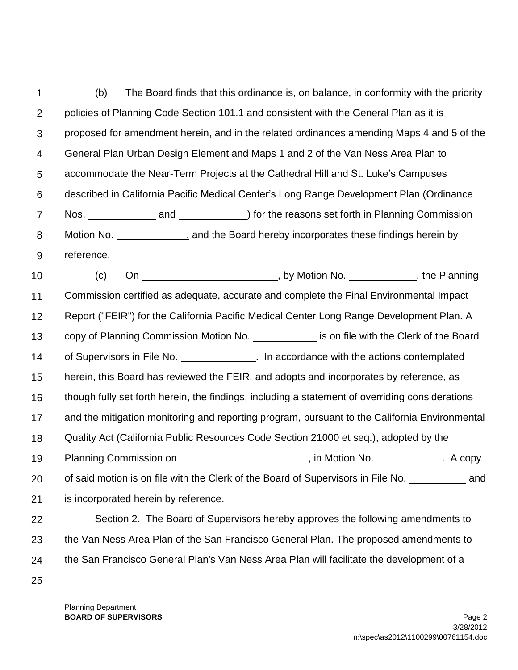1 2 3 4 5 6 7 8 9 10 11 12 13 14 15 16 17 18 19 20 21 22 (b) The Board finds that this ordinance is, on balance, in conformity with the priority policies of Planning Code Section 101.1 and consistent with the General Plan as it is proposed for amendment herein, and in the related ordinances amending Maps 4 and 5 of the General Plan Urban Design Element and Maps 1 and 2 of the Van Ness Area Plan to accommodate the Near-Term Projects at the Cathedral Hill and St. Luke's Campuses described in California Pacific Medical Center's Long Range Development Plan (Ordinance Nos. **And** and **and )** for the reasons set forth in Planning Commission Motion No. , and the Board hereby incorporates these findings herein by reference. (c) On \_\_\_\_\_\_\_\_\_\_\_\_\_\_\_\_\_\_\_\_\_\_\_\_\_\_\_\_\_\_\_\_, by Motion No. \_\_\_\_\_\_\_\_\_\_\_\_\_\_, the Planning Commission certified as adequate, accurate and complete the Final Environmental Impact Report ("FEIR") for the California Pacific Medical Center Long Range Development Plan. A copy of Planning Commission Motion No. is on file with the Clerk of the Board of Supervisors in File No. \_\_\_\_\_\_\_\_\_\_\_\_. In accordance with the actions contemplated herein, this Board has reviewed the FEIR, and adopts and incorporates by reference, as though fully set forth herein, the findings, including a statement of overriding considerations and the mitigation monitoring and reporting program, pursuant to the California Environmental Quality Act (California Public Resources Code Section 21000 et seq.), adopted by the Planning Commission on  $\qquad \qquad$  , in Motion No.  $\qquad \qquad$  A copy of said motion is on file with the Clerk of the Board of Supervisors in File No. **and** is incorporated herein by reference. Section 2. The Board of Supervisors hereby approves the following amendments to

the Van Ness Area Plan of the San Francisco General Plan. The proposed amendments to

the San Francisco General Plan's Van Ness Area Plan will facilitate the development of a

25

23

24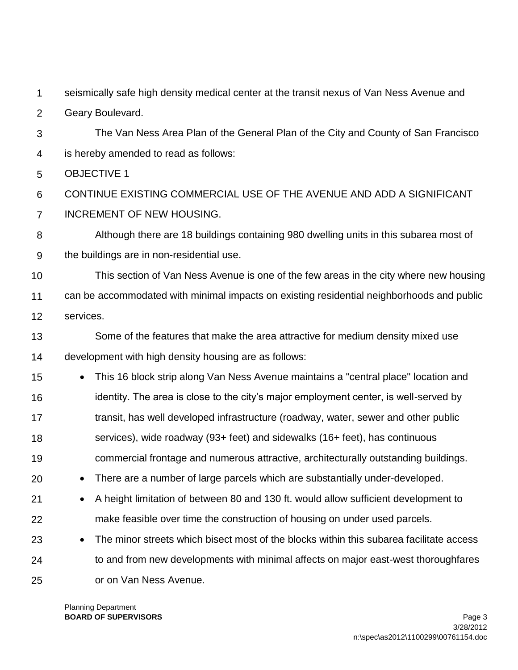1 seismically safe high density medical center at the transit nexus of Van Ness Avenue and

 $\mathcal{P}$ Geary Boulevard.

3 4 The Van Ness Area Plan of the General Plan of the City and County of San Francisco is hereby amended to read as follows:

5 OBJECTIVE 1

6 7 CONTINUE EXISTING COMMERCIAL USE OF THE AVENUE AND ADD A SIGNIFICANT INCREMENT OF NEW HOUSING.

8 9 Although there are 18 buildings containing 980 dwelling units in this subarea most of the buildings are in non-residential use.

10 11 12 This section of Van Ness Avenue is one of the few areas in the city where new housing can be accommodated with minimal impacts on existing residential neighborhoods and public services.

13 14 Some of the features that make the area attractive for medium density mixed use development with high density housing are as follows:

- 15 16 17 18 19 This 16 block strip along Van Ness Avenue maintains a "central place" location and identity. The area is close to the city's major employment center, is well-served by transit, has well developed infrastructure (roadway, water, sewer and other public services), wide roadway (93+ feet) and sidewalks (16+ feet), has continuous commercial frontage and numerous attractive, architecturally outstanding buildings.
- 20 There are a number of large parcels which are substantially under-developed.
- 21 22 A height limitation of between 80 and 130 ft. would allow sufficient development to make feasible over time the construction of housing on under used parcels.
- 23 24 25 • The minor streets which bisect most of the blocks within this subarea facilitate access to and from new developments with minimal affects on major east-west thoroughfares or on Van Ness Avenue.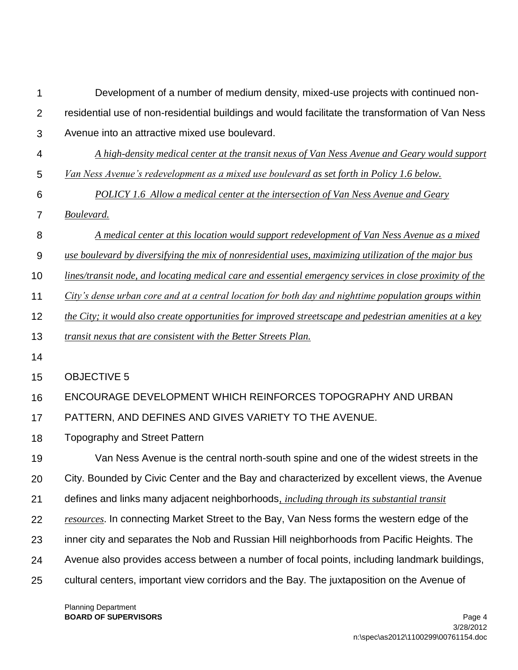| 1              | Development of a number of medium density, mixed-use projects with continued non-                        |
|----------------|----------------------------------------------------------------------------------------------------------|
| $\overline{2}$ | residential use of non-residential buildings and would facilitate the transformation of Van Ness         |
| 3              | Avenue into an attractive mixed use boulevard.                                                           |
| 4              | A high-density medical center at the transit nexus of Van Ness Avenue and Geary would support            |
| 5              | Van Ness Avenue's redevelopment as a mixed use boulevard as set forth in Policy 1.6 below.               |
| 6              | <b>POLICY</b> 1.6 Allow a medical center at the intersection of Van Ness Avenue and Geary                |
| 7              | Boulevard.                                                                                               |
| 8              | A medical center at this location would support redevelopment of Van Ness Avenue as a mixed              |
| 9              | use boulevard by diversifying the mix of nonresidential uses, maximizing utilization of the major bus    |
| 10             | lines/transit node, and locating medical care and essential emergency services in close proximity of the |
| 11             | City's dense urban core and at a central location for both day and nighttime population groups within    |
| 12             | the City; it would also create opportunities for improved streetscape and pedestrian amenities at a key  |
| 13             | transit nexus that are consistent with the Better Streets Plan.                                          |
| 14             |                                                                                                          |
| 15             | <b>OBJECTIVE 5</b>                                                                                       |
| 16             | ENCOURAGE DEVELOPMENT WHICH REINFORCES TOPOGRAPHY AND URBAN                                              |
| 17             | PATTERN, AND DEFINES AND GIVES VARIETY TO THE AVENUE.                                                    |
| 18             | <b>Topography and Street Pattern</b>                                                                     |
| 19             | Van Ness Avenue is the central north-south spine and one of the widest streets in the                    |
| 20             | City. Bounded by Civic Center and the Bay and characterized by excellent views, the Avenue               |
| 21             | defines and links many adjacent neighborhoods, <i>including through its substantial transit</i>          |
| 22             | resources. In connecting Market Street to the Bay, Van Ness forms the western edge of the                |
| 23             | inner city and separates the Nob and Russian Hill neighborhoods from Pacific Heights. The                |
| 24             | Avenue also provides access between a number of focal points, including landmark buildings,              |
| 25             | cultural centers, important view corridors and the Bay. The juxtaposition on the Avenue of               |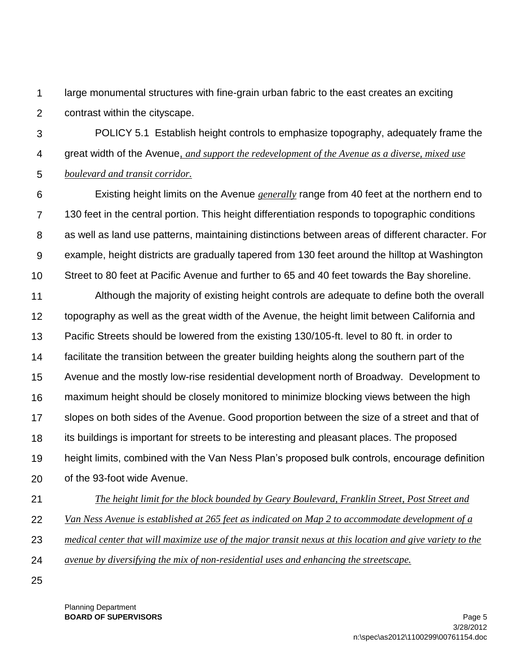1  $\mathcal{P}$ large monumental structures with fine-grain urban fabric to the east creates an exciting contrast within the cityscape.

3 4 5 POLICY 5.1 Establish height controls to emphasize topography, adequately frame the great width of the Avenue, *and support the redevelopment of the Avenue as a diverse, mixed use boulevard and transit corridor.*

6 7 8 9 10 Existing height limits on the Avenue *generally* range from 40 feet at the northern end to 130 feet in the central portion. This height differentiation responds to topographic conditions as well as land use patterns, maintaining distinctions between areas of different character. For example, height districts are gradually tapered from 130 feet around the hilltop at Washington Street to 80 feet at Pacific Avenue and further to 65 and 40 feet towards the Bay shoreline.

11 12 13 14 15 16 17 18 19 20 Although the majority of existing height controls are adequate to define both the overall topography as well as the great width of the Avenue, the height limit between California and Pacific Streets should be lowered from the existing 130/105-ft. level to 80 ft. in order to facilitate the transition between the greater building heights along the southern part of the Avenue and the mostly low-rise residential development north of Broadway. Development to maximum height should be closely monitored to minimize blocking views between the high slopes on both sides of the Avenue. Good proportion between the size of a street and that of its buildings is important for streets to be interesting and pleasant places. The proposed height limits, combined with the Van Ness Plan's proposed bulk controls, encourage definition of the 93-foot wide Avenue.

- 21 22 *The height limit for the block bounded by Geary Boulevard, Franklin Street, Post Street and Van Ness Avenue is established at 265 feet as indicated on Map 2 to accommodate development of a*
- 23 *medical center that will maximize use of the major transit nexus at this location and give variety to the*
- 24 *avenue by diversifying the mix of non-residential uses and enhancing the streetscape.*
- 25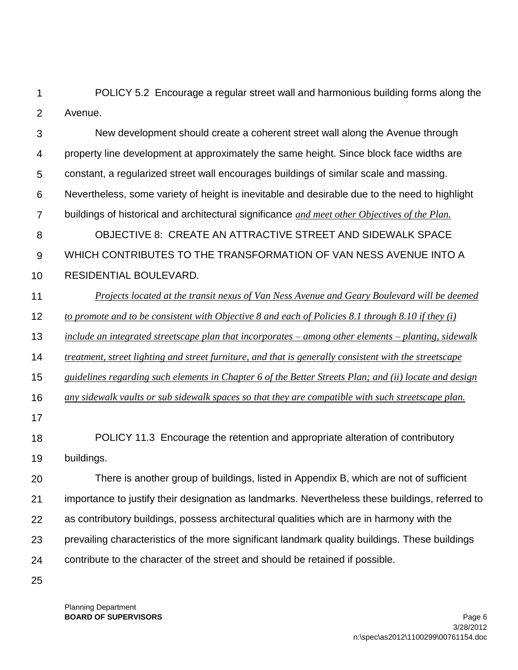1  $\mathcal{P}$ POLICY 5.2 Encourage a regular street wall and harmonious building forms along the Avenue.

3 4 5 6 7 8 9 10 11 12 13 14 15 16 17 18 19 20 21 22 23 New development should create a coherent street wall along the Avenue through property line development at approximately the same height. Since block face widths are constant, a regularized street wall encourages buildings of similar scale and massing. Nevertheless, some variety of height is inevitable and desirable due to the need to highlight buildings of historical and architectural significance *and meet other Objectives of the Plan.*  OBJECTIVE 8: CREATE AN ATTRACTIVE STREET AND SIDEWALK SPACE WHICH CONTRIBUTES TO THE TRANSFORMATION OF VAN NESS AVENUE INTO A RESIDENTIAL BOULEVARD. *Projects located at the transit nexus of Van Ness Avenue and Geary Boulevard will be deemed to promote and to be consistent with Objective 8 and each of Policies 8.1 through 8.10 if they (i) include an integrated streetscape plan that incorporates – among other elements – planting, sidewalk treatment, street lighting and street furniture, and that is generally consistent with the streetscape guidelines regarding such elements in Chapter 6 of the Better Streets Plan; and (ii) locate and design any sidewalk vaults or sub sidewalk spaces so that they are compatible with such streetscape plan.*  POLICY 11.3 Encourage the retention and appropriate alteration of contributory buildings. There is another group of buildings, listed in Appendix B, which are not of sufficient importance to justify their designation as landmarks. Nevertheless these buildings, referred to as contributory buildings, possess architectural qualities which are in harmony with the prevailing characteristics of the more significant landmark quality buildings. These buildings

contribute to the character of the street and should be retained if possible.

25

24